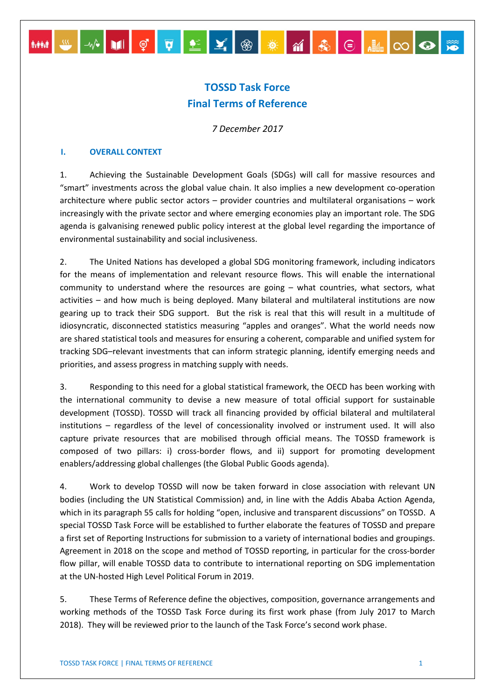# **TOSSD Task Force Final Terms of Reference**

▓▓▎▓▏<sub></sub><sub></sub>░▏<mark>▕</mark>▏₫▏<mark>Ç▏</mark>▛▏▙▏<mark></mark>▓▏▒▏<mark>▒</mark>▕▓▏░▏░▏▒▏

*7 December 2017*

### **I. OVERALL CONTEXT**

1. Achieving the Sustainable Development Goals (SDGs) will call for massive resources and "smart" investments across the global value chain. It also implies a new development co-operation architecture where public sector actors – provider countries and multilateral organisations – work increasingly with the private sector and where emerging economies play an important role. The SDG agenda is galvanising renewed public policy interest at the global level regarding the importance of environmental sustainability and social inclusiveness.

2. The United Nations has developed a global SDG monitoring framework, including indicators for the means of implementation and relevant resource flows. This will enable the international community to understand where the resources are going – what countries, what sectors, what activities – and how much is being deployed. Many bilateral and multilateral institutions are now gearing up to track their SDG support. But the risk is real that this will result in a multitude of idiosyncratic, disconnected statistics measuring "apples and oranges". What the world needs now are shared statistical tools and measures for ensuring a coherent, comparable and unified system for tracking SDG–relevant investments that can inform strategic planning, identify emerging needs and priorities, and assess progress in matching supply with needs.

3. Responding to this need for a global statistical framework, the OECD has been working with the international community to devise a new measure of total official support for sustainable development (TOSSD). TOSSD will track all financing provided by official bilateral and multilateral institutions – regardless of the level of concessionality involved or instrument used. It will also capture private resources that are mobilised through official means. The TOSSD framework is composed of two pillars: i) cross-border flows, and ii) support for promoting development enablers/addressing global challenges (the Global Public Goods agenda).

4. Work to develop TOSSD will now be taken forward in close association with relevant UN bodies (including the UN Statistical Commission) and, in line with the Addis Ababa Action Agenda, which in its paragraph 55 calls for holding "open, inclusive and transparent discussions" on TOSSD. A special TOSSD Task Force will be established to further elaborate the features of TOSSD and prepare a first set of Reporting Instructions for submission to a variety of international bodies and groupings. Agreement in 2018 on the scope and method of TOSSD reporting, in particular for the cross-border flow pillar, will enable TOSSD data to contribute to international reporting on SDG implementation at the UN-hosted High Level Political Forum in 2019.

5. These Terms of Reference define the objectives, composition, governance arrangements and working methods of the TOSSD Task Force during its first work phase (from July 2017 to March 2018). They will be reviewed prior to the launch of the Task Force's second work phase.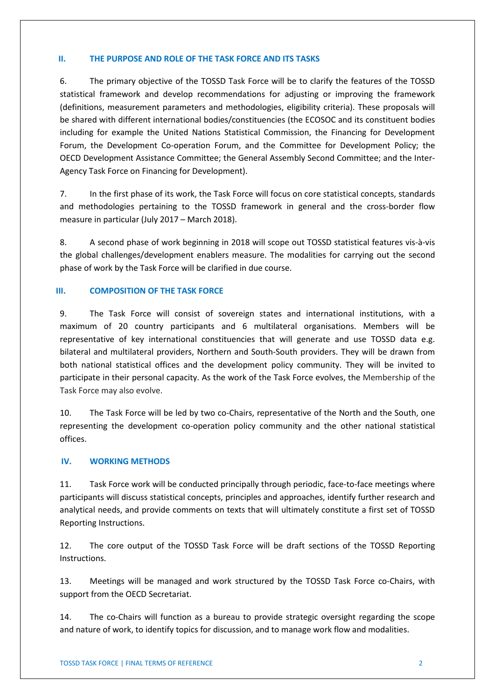## **II. THE PURPOSE AND ROLE OF THE TASK FORCE AND ITS TASKS**

6. The primary objective of the TOSSD Task Force will be to clarify the features of the TOSSD statistical framework and develop recommendations for adjusting or improving the framework (definitions, measurement parameters and methodologies, eligibility criteria). These proposals will be shared with different international bodies/constituencies (the ECOSOC and its constituent bodies including for example the United Nations Statistical Commission, the Financing for Development Forum, the Development Co-operation Forum, and the Committee for Development Policy; the OECD Development Assistance Committee; the General Assembly Second Committee; and the Inter-Agency Task Force on Financing for Development).

7. In the first phase of its work, the Task Force will focus on core statistical concepts, standards and methodologies pertaining to the TOSSD framework in general and the cross-border flow measure in particular (July 2017 – March 2018).

8. A second phase of work beginning in 2018 will scope out TOSSD statistical features vis-à-vis the global challenges/development enablers measure. The modalities for carrying out the second phase of work by the Task Force will be clarified in due course.

## **III. COMPOSITION OF THE TASK FORCE**

9. The Task Force will consist of sovereign states and international institutions, with a maximum of 20 country participants and 6 multilateral organisations. Members will be representative of key international constituencies that will generate and use TOSSD data e.g. bilateral and multilateral providers, Northern and South-South providers. They will be drawn from both national statistical offices and the development policy community. They will be invited to participate in their personal capacity. As the work of the Task Force evolves, the Membership of the Task Force may also evolve.

10. The Task Force will be led by two co-Chairs, representative of the North and the South, one representing the development co-operation policy community and the other national statistical offices.

### **IV. WORKING METHODS**

11. Task Force work will be conducted principally through periodic, face-to-face meetings where participants will discuss statistical concepts, principles and approaches, identify further research and analytical needs, and provide comments on texts that will ultimately constitute a first set of TOSSD Reporting Instructions.

12. The core output of the TOSSD Task Force will be draft sections of the TOSSD Reporting Instructions.

13. Meetings will be managed and work structured by the TOSSD Task Force co-Chairs, with support from the OECD Secretariat.

14. The co-Chairs will function as a bureau to provide strategic oversight regarding the scope and nature of work, to identify topics for discussion, and to manage work flow and modalities.